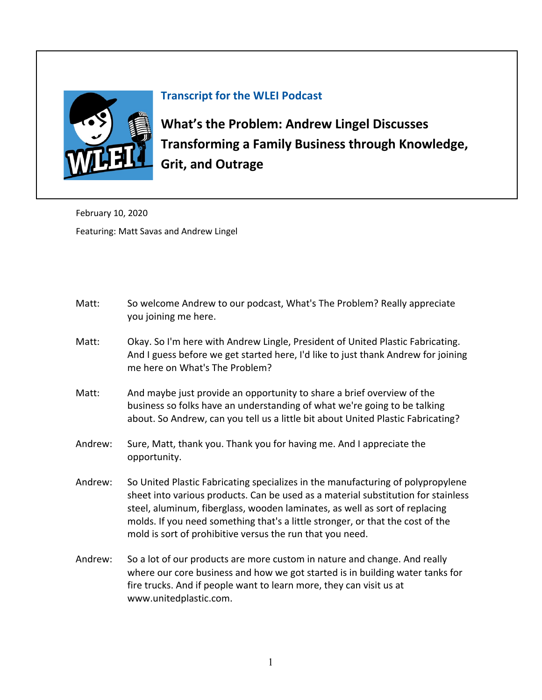

## **Transcript for the WLEI Podcast**

**What's the Problem: Andrew Lingel Discusses [Transforming a Family Business through Knowledge,](https://www.lean.org/podcast/5131)  Grit, and Outrage**

February 10, 2020 Featuring: Matt Savas and Andrew Lingel

- Matt: So welcome Andrew to our podcast, What's The Problem? Really appreciate you joining me here.
- Matt: Okay. So I'm here with Andrew Lingle, President of United Plastic Fabricating. And I guess before we get started here, I'd like to just thank Andrew for joining me here on What's The Problem?
- Matt: And maybe just provide an opportunity to share a brief overview of the business so folks have an understanding of what we're going to be talking about. So Andrew, can you tell us a little bit about United Plastic Fabricating?
- Andrew: Sure, Matt, thank you. Thank you for having me. And I appreciate the opportunity.
- Andrew: So United Plastic Fabricating specializes in the manufacturing of polypropylene sheet into various products. Can be used as a material substitution for stainless steel, aluminum, fiberglass, wooden laminates, as well as sort of replacing molds. If you need something that's a little stronger, or that the cost of the mold is sort of prohibitive versus the run that you need.
- Andrew: So a lot of our products are more custom in nature and change. And really where our core business and how we got started is in building water tanks for fire trucks. And if people want to learn more, they can visit us at www.unitedplastic.com.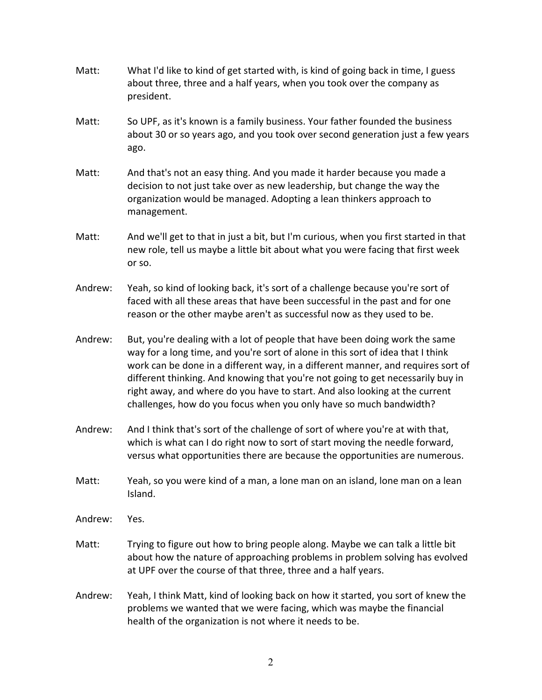- Matt: What I'd like to kind of get started with, is kind of going back in time, I guess about three, three and a half years, when you took over the company as president.
- Matt: So UPF, as it's known is a family business. Your father founded the business about 30 or so years ago, and you took over second generation just a few years ago.
- Matt: And that's not an easy thing. And you made it harder because you made a decision to not just take over as new leadership, but change the way the organization would be managed. Adopting a lean thinkers approach to management.
- Matt: And we'll get to that in just a bit, but I'm curious, when you first started in that new role, tell us maybe a little bit about what you were facing that first week or so.
- Andrew: Yeah, so kind of looking back, it's sort of a challenge because you're sort of faced with all these areas that have been successful in the past and for one reason or the other maybe aren't as successful now as they used to be.
- Andrew: But, you're dealing with a lot of people that have been doing work the same way for a long time, and you're sort of alone in this sort of idea that I think work can be done in a different way, in a different manner, and requires sort of different thinking. And knowing that you're not going to get necessarily buy in right away, and where do you have to start. And also looking at the current challenges, how do you focus when you only have so much bandwidth?
- Andrew: And I think that's sort of the challenge of sort of where you're at with that, which is what can I do right now to sort of start moving the needle forward, versus what opportunities there are because the opportunities are numerous.
- Matt: Yeah, so you were kind of a man, a lone man on an island, lone man on a lean Island.
- Andrew: Yes.
- Matt: Trying to figure out how to bring people along. Maybe we can talk a little bit about how the nature of approaching problems in problem solving has evolved at UPF over the course of that three, three and a half years.
- Andrew: Yeah, I think Matt, kind of looking back on how it started, you sort of knew the problems we wanted that we were facing, which was maybe the financial health of the organization is not where it needs to be.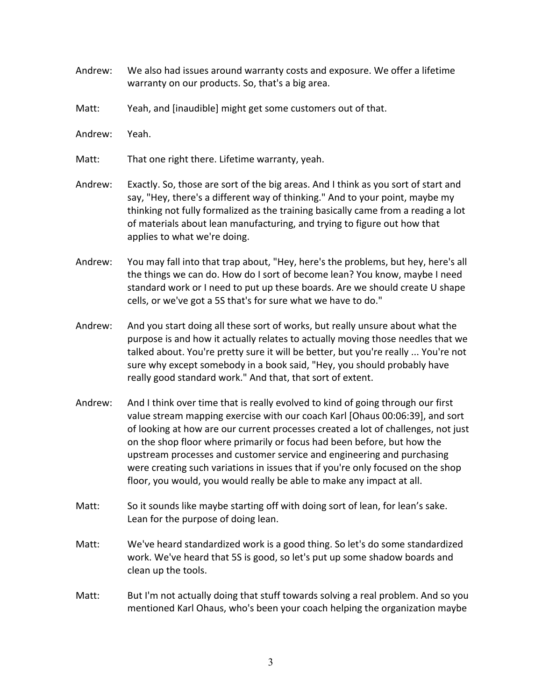- Andrew: We also had issues around warranty costs and exposure. We offer a lifetime warranty on our products. So, that's a big area.
- Matt: Yeah, and [inaudible] might get some customers out of that.
- Andrew: Yeah.
- Matt: That one right there. Lifetime warranty, yeah.
- Andrew: Exactly. So, those are sort of the big areas. And I think as you sort of start and say, "Hey, there's a different way of thinking." And to your point, maybe my thinking not fully formalized as the training basically came from a reading a lot of materials about lean manufacturing, and trying to figure out how that applies to what we're doing.
- Andrew: You may fall into that trap about, "Hey, here's the problems, but hey, here's all the things we can do. How do I sort of become lean? You know, maybe I need standard work or I need to put up these boards. Are we should create U shape cells, or we've got a 5S that's for sure what we have to do."
- Andrew: And you start doing all these sort of works, but really unsure about what the purpose is and how it actually relates to actually moving those needles that we talked about. You're pretty sure it will be better, but you're really ... You're not sure why except somebody in a book said, "Hey, you should probably have really good standard work." And that, that sort of extent.
- Andrew: And I think over time that is really evolved to kind of going through our first value stream mapping exercise with our coach Karl [Ohaus 00:06:39], and sort of looking at how are our current processes created a lot of challenges, not just on the shop floor where primarily or focus had been before, but how the upstream processes and customer service and engineering and purchasing were creating such variations in issues that if you're only focused on the shop floor, you would, you would really be able to make any impact at all.
- Matt: So it sounds like maybe starting off with doing sort of lean, for lean's sake. Lean for the purpose of doing lean.
- Matt: We've heard standardized work is a good thing. So let's do some standardized work. We've heard that 5S is good, so let's put up some shadow boards and clean up the tools.
- Matt: But I'm not actually doing that stuff towards solving a real problem. And so you mentioned Karl Ohaus, who's been your coach helping the organization maybe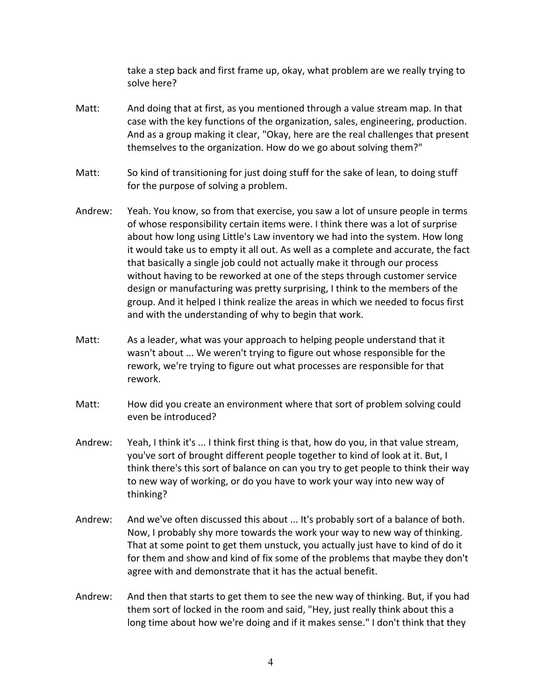take a step back and first frame up, okay, what problem are we really trying to solve here?

- Matt: And doing that at first, as you mentioned through a value stream map. In that case with the key functions of the organization, sales, engineering, production. And as a group making it clear, "Okay, here are the real challenges that present themselves to the organization. How do we go about solving them?"
- Matt: So kind of transitioning for just doing stuff for the sake of lean, to doing stuff for the purpose of solving a problem.
- Andrew: Yeah. You know, so from that exercise, you saw a lot of unsure people in terms of whose responsibility certain items were. I think there was a lot of surprise about how long using Little's Law inventory we had into the system. How long it would take us to empty it all out. As well as a complete and accurate, the fact that basically a single job could not actually make it through our process without having to be reworked at one of the steps through customer service design or manufacturing was pretty surprising, I think to the members of the group. And it helped I think realize the areas in which we needed to focus first and with the understanding of why to begin that work.
- Matt: As a leader, what was your approach to helping people understand that it wasn't about ... We weren't trying to figure out whose responsible for the rework, we're trying to figure out what processes are responsible for that rework.
- Matt: How did you create an environment where that sort of problem solving could even be introduced?
- Andrew: Yeah, I think it's ... I think first thing is that, how do you, in that value stream, you've sort of brought different people together to kind of look at it. But, I think there's this sort of balance on can you try to get people to think their way to new way of working, or do you have to work your way into new way of thinking?
- Andrew: And we've often discussed this about ... It's probably sort of a balance of both. Now, I probably shy more towards the work your way to new way of thinking. That at some point to get them unstuck, you actually just have to kind of do it for them and show and kind of fix some of the problems that maybe they don't agree with and demonstrate that it has the actual benefit.
- Andrew: And then that starts to get them to see the new way of thinking. But, if you had them sort of locked in the room and said, "Hey, just really think about this a long time about how we're doing and if it makes sense." I don't think that they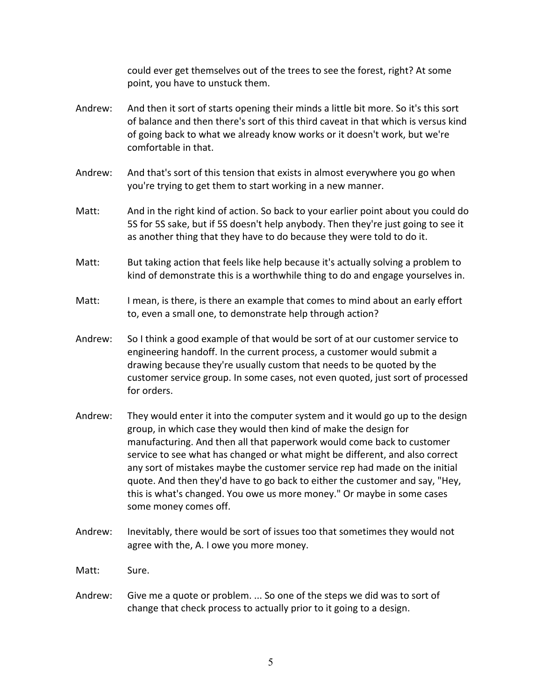could ever get themselves out of the trees to see the forest, right? At some point, you have to unstuck them.

- Andrew: And then it sort of starts opening their minds a little bit more. So it's this sort of balance and then there's sort of this third caveat in that which is versus kind of going back to what we already know works or it doesn't work, but we're comfortable in that.
- Andrew: And that's sort of this tension that exists in almost everywhere you go when you're trying to get them to start working in a new manner.
- Matt: And in the right kind of action. So back to your earlier point about you could do 5S for 5S sake, but if 5S doesn't help anybody. Then they're just going to see it as another thing that they have to do because they were told to do it.
- Matt: But taking action that feels like help because it's actually solving a problem to kind of demonstrate this is a worthwhile thing to do and engage yourselves in.
- Matt: I mean, is there, is there an example that comes to mind about an early effort to, even a small one, to demonstrate help through action?
- Andrew: So I think a good example of that would be sort of at our customer service to engineering handoff. In the current process, a customer would submit a drawing because they're usually custom that needs to be quoted by the customer service group. In some cases, not even quoted, just sort of processed for orders.
- Andrew: They would enter it into the computer system and it would go up to the design group, in which case they would then kind of make the design for manufacturing. And then all that paperwork would come back to customer service to see what has changed or what might be different, and also correct any sort of mistakes maybe the customer service rep had made on the initial quote. And then they'd have to go back to either the customer and say, "Hey, this is what's changed. You owe us more money." Or maybe in some cases some money comes off.
- Andrew: Inevitably, there would be sort of issues too that sometimes they would not agree with the, A. I owe you more money.

Matt: Sure.

Andrew: Give me a quote or problem. ... So one of the steps we did was to sort of change that check process to actually prior to it going to a design.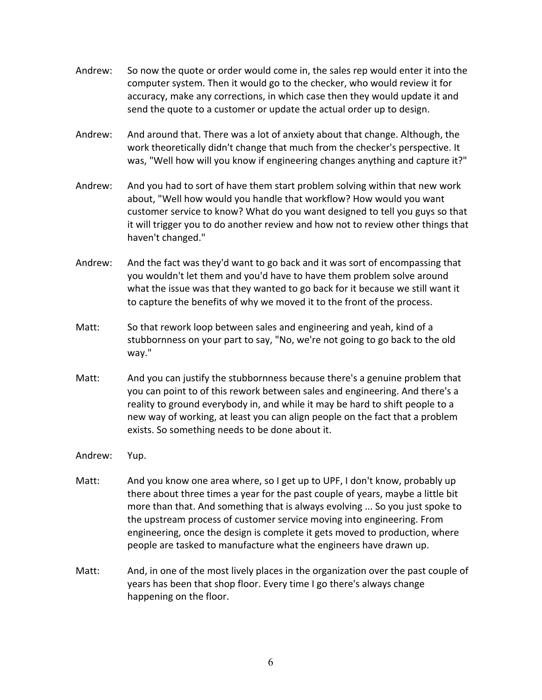- Andrew: So now the quote or order would come in, the sales rep would enter it into the computer system. Then it would go to the checker, who would review it for accuracy, make any corrections, in which case then they would update it and send the quote to a customer or update the actual order up to design.
- Andrew: And around that. There was a lot of anxiety about that change. Although, the work theoretically didn't change that much from the checker's perspective. It was, "Well how will you know if engineering changes anything and capture it?"
- Andrew: And you had to sort of have them start problem solving within that new work about, "Well how would you handle that workflow? How would you want customer service to know? What do you want designed to tell you guys so that it will trigger you to do another review and how not to review other things that haven't changed."
- Andrew: And the fact was they'd want to go back and it was sort of encompassing that you wouldn't let them and you'd have to have them problem solve around what the issue was that they wanted to go back for it because we still want it to capture the benefits of why we moved it to the front of the process.
- Matt: So that rework loop between sales and engineering and yeah, kind of a stubbornness on your part to say, "No, we're not going to go back to the old way."
- Matt: And you can justify the stubbornness because there's a genuine problem that you can point to of this rework between sales and engineering. And there's a reality to ground everybody in, and while it may be hard to shift people to a new way of working, at least you can align people on the fact that a problem exists. So something needs to be done about it.
- Andrew: Yup.
- Matt: And you know one area where, so I get up to UPF, I don't know, probably up there about three times a year for the past couple of years, maybe a little bit more than that. And something that is always evolving ... So you just spoke to the upstream process of customer service moving into engineering. From engineering, once the design is complete it gets moved to production, where people are tasked to manufacture what the engineers have drawn up.
- Matt: And, in one of the most lively places in the organization over the past couple of years has been that shop floor. Every time I go there's always change happening on the floor.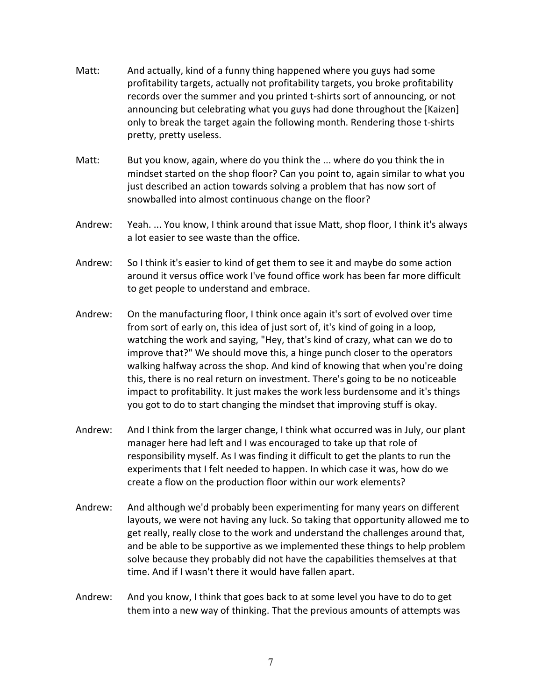- Matt: And actually, kind of a funny thing happened where you guys had some profitability targets, actually not profitability targets, you broke profitability records over the summer and you printed t-shirts sort of announcing, or not announcing but celebrating what you guys had done throughout the [Kaizen] only to break the target again the following month. Rendering those t-shirts pretty, pretty useless.
- Matt: But you know, again, where do you think the ... where do you think the in mindset started on the shop floor? Can you point to, again similar to what you just described an action towards solving a problem that has now sort of snowballed into almost continuous change on the floor?
- Andrew: Yeah. ... You know, I think around that issue Matt, shop floor, I think it's always a lot easier to see waste than the office.
- Andrew: So I think it's easier to kind of get them to see it and maybe do some action around it versus office work I've found office work has been far more difficult to get people to understand and embrace.
- Andrew: On the manufacturing floor, I think once again it's sort of evolved over time from sort of early on, this idea of just sort of, it's kind of going in a loop, watching the work and saying, "Hey, that's kind of crazy, what can we do to improve that?" We should move this, a hinge punch closer to the operators walking halfway across the shop. And kind of knowing that when you're doing this, there is no real return on investment. There's going to be no noticeable impact to profitability. It just makes the work less burdensome and it's things you got to do to start changing the mindset that improving stuff is okay.
- Andrew: And I think from the larger change, I think what occurred was in July, our plant manager here had left and I was encouraged to take up that role of responsibility myself. As I was finding it difficult to get the plants to run the experiments that I felt needed to happen. In which case it was, how do we create a flow on the production floor within our work elements?
- Andrew: And although we'd probably been experimenting for many years on different layouts, we were not having any luck. So taking that opportunity allowed me to get really, really close to the work and understand the challenges around that, and be able to be supportive as we implemented these things to help problem solve because they probably did not have the capabilities themselves at that time. And if I wasn't there it would have fallen apart.
- Andrew: And you know, I think that goes back to at some level you have to do to get them into a new way of thinking. That the previous amounts of attempts was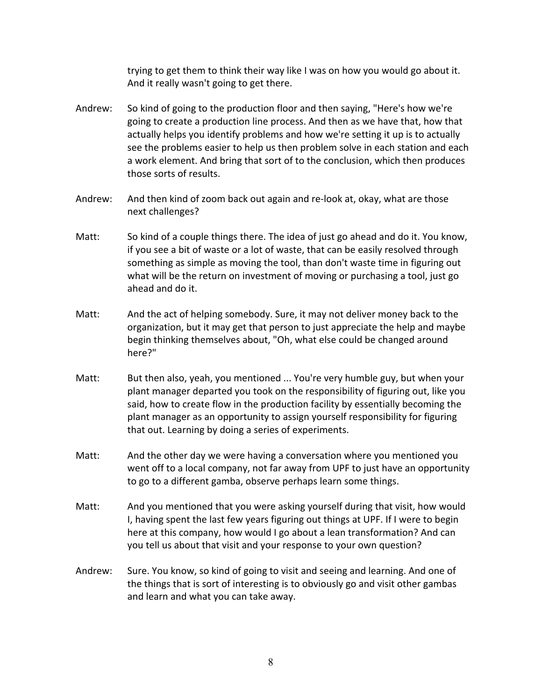trying to get them to think their way like I was on how you would go about it. And it really wasn't going to get there.

- Andrew: So kind of going to the production floor and then saying, "Here's how we're going to create a production line process. And then as we have that, how that actually helps you identify problems and how we're setting it up is to actually see the problems easier to help us then problem solve in each station and each a work element. And bring that sort of to the conclusion, which then produces those sorts of results.
- Andrew: And then kind of zoom back out again and re-look at, okay, what are those next challenges?
- Matt: So kind of a couple things there. The idea of just go ahead and do it. You know, if you see a bit of waste or a lot of waste, that can be easily resolved through something as simple as moving the tool, than don't waste time in figuring out what will be the return on investment of moving or purchasing a tool, just go ahead and do it.
- Matt: And the act of helping somebody. Sure, it may not deliver money back to the organization, but it may get that person to just appreciate the help and maybe begin thinking themselves about, "Oh, what else could be changed around here?"
- Matt: But then also, yeah, you mentioned ... You're very humble guy, but when your plant manager departed you took on the responsibility of figuring out, like you said, how to create flow in the production facility by essentially becoming the plant manager as an opportunity to assign yourself responsibility for figuring that out. Learning by doing a series of experiments.
- Matt: And the other day we were having a conversation where you mentioned you went off to a local company, not far away from UPF to just have an opportunity to go to a different gamba, observe perhaps learn some things.
- Matt: And you mentioned that you were asking yourself during that visit, how would I, having spent the last few years figuring out things at UPF. If I were to begin here at this company, how would I go about a lean transformation? And can you tell us about that visit and your response to your own question?
- Andrew: Sure. You know, so kind of going to visit and seeing and learning. And one of the things that is sort of interesting is to obviously go and visit other gambas and learn and what you can take away.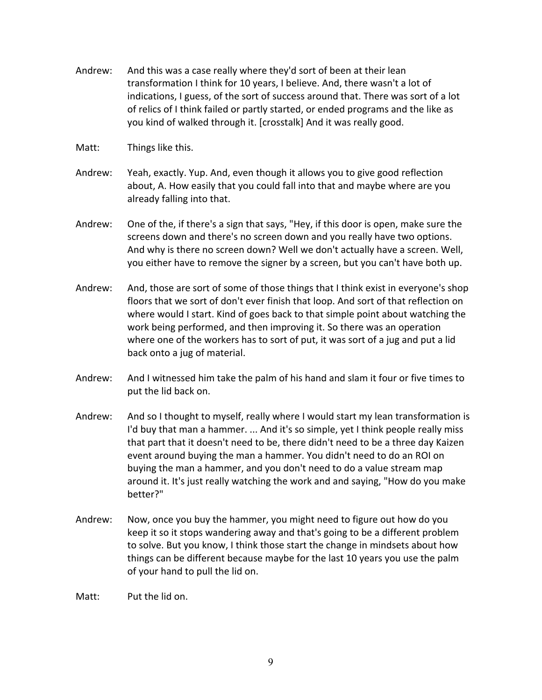- Andrew: And this was a case really where they'd sort of been at their lean transformation I think for 10 years, I believe. And, there wasn't a lot of indications, I guess, of the sort of success around that. There was sort of a lot of relics of I think failed or partly started, or ended programs and the like as you kind of walked through it. [crosstalk] And it was really good.
- Matt: Things like this.
- Andrew: Yeah, exactly. Yup. And, even though it allows you to give good reflection about, A. How easily that you could fall into that and maybe where are you already falling into that.
- Andrew: One of the, if there's a sign that says, "Hey, if this door is open, make sure the screens down and there's no screen down and you really have two options. And why is there no screen down? Well we don't actually have a screen. Well, you either have to remove the signer by a screen, but you can't have both up.
- Andrew: And, those are sort of some of those things that I think exist in everyone's shop floors that we sort of don't ever finish that loop. And sort of that reflection on where would I start. Kind of goes back to that simple point about watching the work being performed, and then improving it. So there was an operation where one of the workers has to sort of put, it was sort of a jug and put a lid back onto a jug of material.
- Andrew: And I witnessed him take the palm of his hand and slam it four or five times to put the lid back on.
- Andrew: And so I thought to myself, really where I would start my lean transformation is I'd buy that man a hammer. ... And it's so simple, yet I think people really miss that part that it doesn't need to be, there didn't need to be a three day Kaizen event around buying the man a hammer. You didn't need to do an ROI on buying the man a hammer, and you don't need to do a value stream map around it. It's just really watching the work and and saying, "How do you make better?"
- Andrew: Now, once you buy the hammer, you might need to figure out how do you keep it so it stops wandering away and that's going to be a different problem to solve. But you know, I think those start the change in mindsets about how things can be different because maybe for the last 10 years you use the palm of your hand to pull the lid on.

Matt: Put the lid on.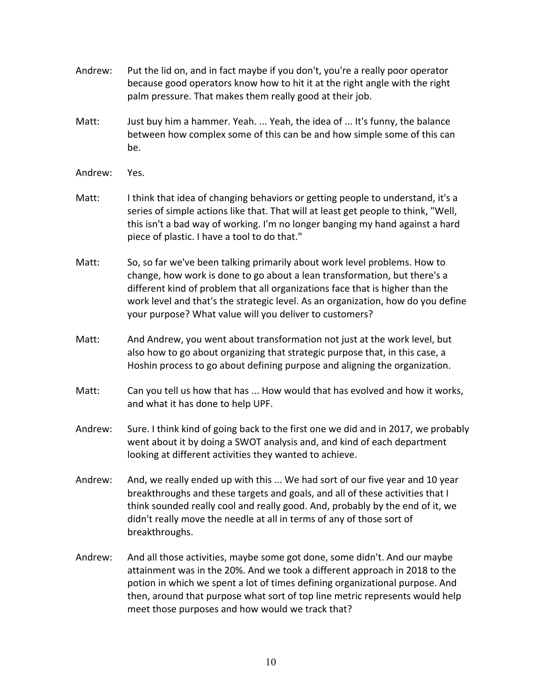- Andrew: Put the lid on, and in fact maybe if you don't, you're a really poor operator because good operators know how to hit it at the right angle with the right palm pressure. That makes them really good at their job.
- Matt: Just buy him a hammer. Yeah. ... Yeah, the idea of ... It's funny, the balance between how complex some of this can be and how simple some of this can be.
- Andrew: Yes.
- Matt: I think that idea of changing behaviors or getting people to understand, it's a series of simple actions like that. That will at least get people to think, "Well, this isn't a bad way of working. I'm no longer banging my hand against a hard piece of plastic. I have a tool to do that."
- Matt: So, so far we've been talking primarily about work level problems. How to change, how work is done to go about a lean transformation, but there's a different kind of problem that all organizations face that is higher than the work level and that's the strategic level. As an organization, how do you define your purpose? What value will you deliver to customers?
- Matt: And Andrew, you went about transformation not just at the work level, but also how to go about organizing that strategic purpose that, in this case, a Hoshin process to go about defining purpose and aligning the organization.
- Matt: Can you tell us how that has ... How would that has evolved and how it works, and what it has done to help UPF.
- Andrew: Sure. I think kind of going back to the first one we did and in 2017, we probably went about it by doing a SWOT analysis and, and kind of each department looking at different activities they wanted to achieve.
- Andrew: And, we really ended up with this ... We had sort of our five year and 10 year breakthroughs and these targets and goals, and all of these activities that I think sounded really cool and really good. And, probably by the end of it, we didn't really move the needle at all in terms of any of those sort of breakthroughs.
- Andrew: And all those activities, maybe some got done, some didn't. And our maybe attainment was in the 20%. And we took a different approach in 2018 to the potion in which we spent a lot of times defining organizational purpose. And then, around that purpose what sort of top line metric represents would help meet those purposes and how would we track that?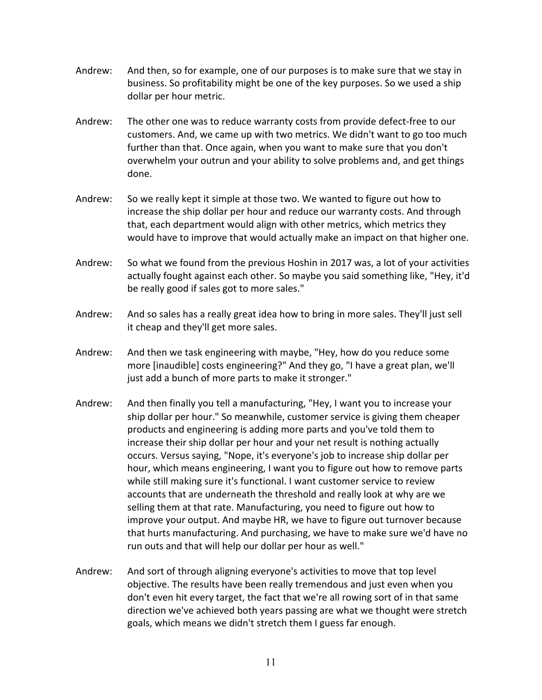- Andrew: And then, so for example, one of our purposes is to make sure that we stay in business. So profitability might be one of the key purposes. So we used a ship dollar per hour metric.
- Andrew: The other one was to reduce warranty costs from provide defect-free to our customers. And, we came up with two metrics. We didn't want to go too much further than that. Once again, when you want to make sure that you don't overwhelm your outrun and your ability to solve problems and, and get things done.
- Andrew: So we really kept it simple at those two. We wanted to figure out how to increase the ship dollar per hour and reduce our warranty costs. And through that, each department would align with other metrics, which metrics they would have to improve that would actually make an impact on that higher one.
- Andrew: So what we found from the previous Hoshin in 2017 was, a lot of your activities actually fought against each other. So maybe you said something like, "Hey, it'd be really good if sales got to more sales."
- Andrew: And so sales has a really great idea how to bring in more sales. They'll just sell it cheap and they'll get more sales.
- Andrew: And then we task engineering with maybe, "Hey, how do you reduce some more [inaudible] costs engineering?" And they go, "I have a great plan, we'll just add a bunch of more parts to make it stronger."
- Andrew: And then finally you tell a manufacturing, "Hey, I want you to increase your ship dollar per hour." So meanwhile, customer service is giving them cheaper products and engineering is adding more parts and you've told them to increase their ship dollar per hour and your net result is nothing actually occurs. Versus saying, "Nope, it's everyone's job to increase ship dollar per hour, which means engineering, I want you to figure out how to remove parts while still making sure it's functional. I want customer service to review accounts that are underneath the threshold and really look at why are we selling them at that rate. Manufacturing, you need to figure out how to improve your output. And maybe HR, we have to figure out turnover because that hurts manufacturing. And purchasing, we have to make sure we'd have no run outs and that will help our dollar per hour as well."
- Andrew: And sort of through aligning everyone's activities to move that top level objective. The results have been really tremendous and just even when you don't even hit every target, the fact that we're all rowing sort of in that same direction we've achieved both years passing are what we thought were stretch goals, which means we didn't stretch them I guess far enough.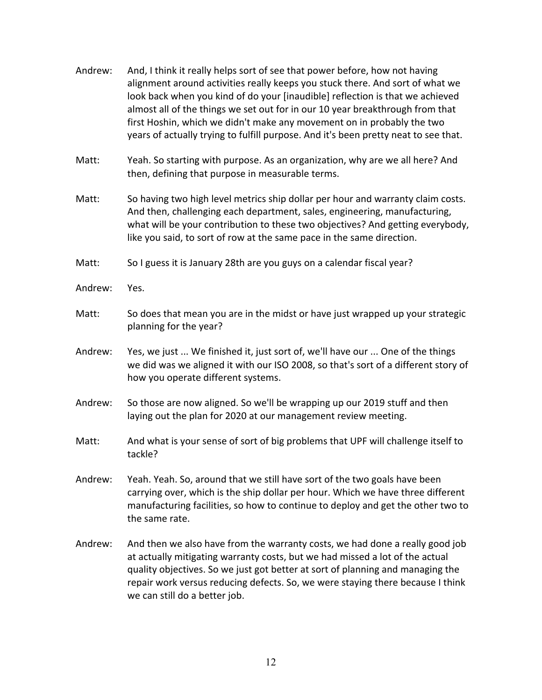- Andrew: And, I think it really helps sort of see that power before, how not having alignment around activities really keeps you stuck there. And sort of what we look back when you kind of do your [inaudible] reflection is that we achieved almost all of the things we set out for in our 10 year breakthrough from that first Hoshin, which we didn't make any movement on in probably the two years of actually trying to fulfill purpose. And it's been pretty neat to see that.
- Matt: Yeah. So starting with purpose. As an organization, why are we all here? And then, defining that purpose in measurable terms.
- Matt: So having two high level metrics ship dollar per hour and warranty claim costs. And then, challenging each department, sales, engineering, manufacturing, what will be your contribution to these two objectives? And getting everybody, like you said, to sort of row at the same pace in the same direction.
- Matt: So I guess it is January 28th are you guys on a calendar fiscal year?
- Andrew: Yes.
- Matt: So does that mean you are in the midst or have just wrapped up your strategic planning for the year?
- Andrew: Yes, we just ... We finished it, just sort of, we'll have our ... One of the things we did was we aligned it with our ISO 2008, so that's sort of a different story of how you operate different systems.
- Andrew: So those are now aligned. So we'll be wrapping up our 2019 stuff and then laying out the plan for 2020 at our management review meeting.
- Matt: And what is your sense of sort of big problems that UPF will challenge itself to tackle?
- Andrew: Yeah. Yeah. So, around that we still have sort of the two goals have been carrying over, which is the ship dollar per hour. Which we have three different manufacturing facilities, so how to continue to deploy and get the other two to the same rate.
- Andrew: And then we also have from the warranty costs, we had done a really good job at actually mitigating warranty costs, but we had missed a lot of the actual quality objectives. So we just got better at sort of planning and managing the repair work versus reducing defects. So, we were staying there because I think we can still do a better job.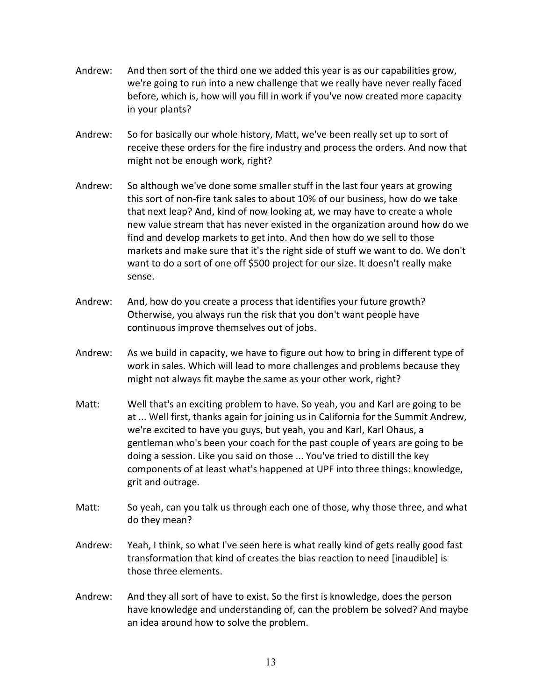- Andrew: And then sort of the third one we added this year is as our capabilities grow, we're going to run into a new challenge that we really have never really faced before, which is, how will you fill in work if you've now created more capacity in your plants?
- Andrew: So for basically our whole history, Matt, we've been really set up to sort of receive these orders for the fire industry and process the orders. And now that might not be enough work, right?
- Andrew: So although we've done some smaller stuff in the last four years at growing this sort of non-fire tank sales to about 10% of our business, how do we take that next leap? And, kind of now looking at, we may have to create a whole new value stream that has never existed in the organization around how do we find and develop markets to get into. And then how do we sell to those markets and make sure that it's the right side of stuff we want to do. We don't want to do a sort of one off \$500 project for our size. It doesn't really make sense.
- Andrew: And, how do you create a process that identifies your future growth? Otherwise, you always run the risk that you don't want people have continuous improve themselves out of jobs.
- Andrew: As we build in capacity, we have to figure out how to bring in different type of work in sales. Which will lead to more challenges and problems because they might not always fit maybe the same as your other work, right?
- Matt: Well that's an exciting problem to have. So yeah, you and Karl are going to be at ... Well first, thanks again for joining us in California for the Summit Andrew, we're excited to have you guys, but yeah, you and Karl, Karl Ohaus, a gentleman who's been your coach for the past couple of years are going to be doing a session. Like you said on those ... You've tried to distill the key components of at least what's happened at UPF into three things: knowledge, grit and outrage.
- Matt: So yeah, can you talk us through each one of those, why those three, and what do they mean?
- Andrew: Yeah, I think, so what I've seen here is what really kind of gets really good fast transformation that kind of creates the bias reaction to need [inaudible] is those three elements.
- Andrew: And they all sort of have to exist. So the first is knowledge, does the person have knowledge and understanding of, can the problem be solved? And maybe an idea around how to solve the problem.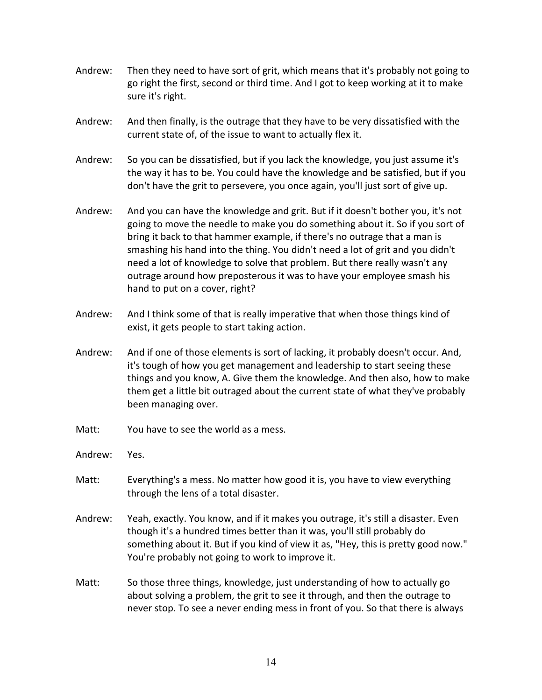- Andrew: Then they need to have sort of grit, which means that it's probably not going to go right the first, second or third time. And I got to keep working at it to make sure it's right.
- Andrew: And then finally, is the outrage that they have to be very dissatisfied with the current state of, of the issue to want to actually flex it.
- Andrew: So you can be dissatisfied, but if you lack the knowledge, you just assume it's the way it has to be. You could have the knowledge and be satisfied, but if you don't have the grit to persevere, you once again, you'll just sort of give up.
- Andrew: And you can have the knowledge and grit. But if it doesn't bother you, it's not going to move the needle to make you do something about it. So if you sort of bring it back to that hammer example, if there's no outrage that a man is smashing his hand into the thing. You didn't need a lot of grit and you didn't need a lot of knowledge to solve that problem. But there really wasn't any outrage around how preposterous it was to have your employee smash his hand to put on a cover, right?
- Andrew: And I think some of that is really imperative that when those things kind of exist, it gets people to start taking action.
- Andrew: And if one of those elements is sort of lacking, it probably doesn't occur. And, it's tough of how you get management and leadership to start seeing these things and you know, A. Give them the knowledge. And then also, how to make them get a little bit outraged about the current state of what they've probably been managing over.
- Matt: You have to see the world as a mess.
- Andrew: Yes.
- Matt: Everything's a mess. No matter how good it is, you have to view everything through the lens of a total disaster.
- Andrew: Yeah, exactly. You know, and if it makes you outrage, it's still a disaster. Even though it's a hundred times better than it was, you'll still probably do something about it. But if you kind of view it as, "Hey, this is pretty good now." You're probably not going to work to improve it.
- Matt: So those three things, knowledge, just understanding of how to actually go about solving a problem, the grit to see it through, and then the outrage to never stop. To see a never ending mess in front of you. So that there is always